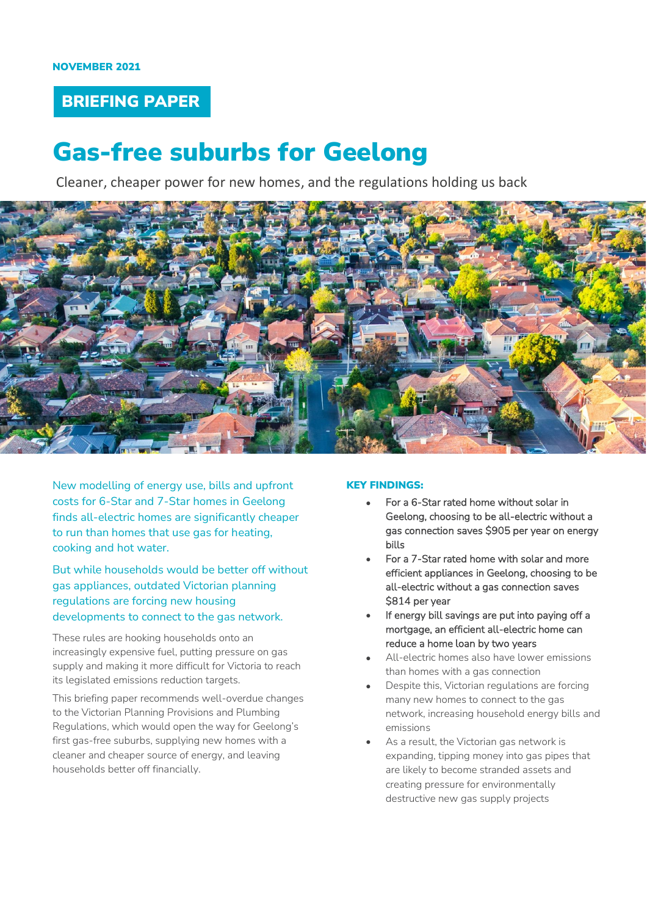## BRIEFING PAPER

# Gas-free suburbs for Geelong

Cleaner, cheaper power for new homes, and the regulations holding us back



New modelling of energy use, bills and upfront costs for 6-Star and 7-Star homes in Geelong finds all-electric homes are significantly cheaper to run than homes that use gas for heating, cooking and hot water.

But while households would be better off without gas appliances, outdated Victorian planning regulations are forcing new housing developments to connect to the gas network.

These rules are hooking households onto an increasingly expensive fuel, putting pressure on gas supply and making it more difficult for Victoria to reach its legislated emissions reduction targets.

This briefing paper recommends well-overdue changes to the Victorian Planning Provisions and Plumbing Regulations, which would open the way for Geelong's first gas-free suburbs, supplying new homes with a cleaner and cheaper source of energy, and leaving households better off financially.

#### KEY FINDINGS:

- For a 6-Star rated home without solar in Geelong, choosing to be all-electric without a gas connection saves \$905 per year on energy bills
- For a 7-Star rated home with solar and more efficient appliances in Geelong, choosing to be all-electric without a gas connection saves \$814 per year
- If energy bill savings are put into paying off a mortgage, an efficient all-electric home can reduce a home loan by two years
- All-electric homes also have lower emissions than homes with a gas connection
- Despite this, Victorian regulations are forcing many new homes to connect to the gas network, increasing household energy bills and emissions
- As a result, the Victorian gas network is expanding, tipping money into gas pipes that are likely to become stranded assets and creating pressure for environmentally destructive new gas supply projects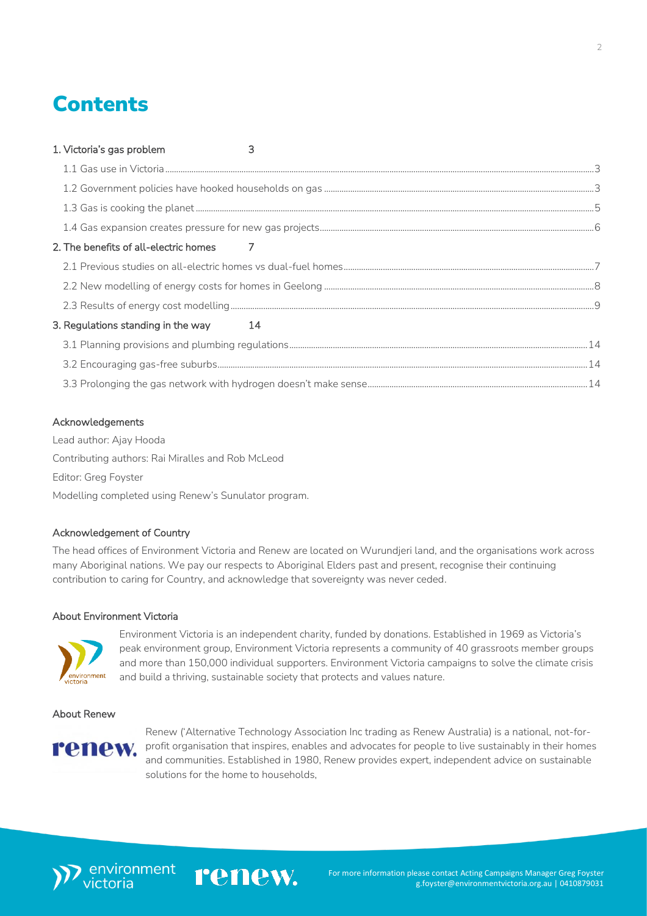## **Contents**

| 1. Victoria's gas problem             | 3 |  |
|---------------------------------------|---|--|
|                                       |   |  |
|                                       |   |  |
|                                       |   |  |
|                                       |   |  |
| 2. The benefits of all-electric homes |   |  |
|                                       |   |  |
|                                       |   |  |
|                                       |   |  |
| 3. Regulations standing in the way 14 |   |  |
|                                       |   |  |
|                                       |   |  |
|                                       |   |  |
|                                       |   |  |

### Acknowledgements

Lead author: Ajay Hooda Contributing authors: Rai Miralles and Rob McLeod Editor: Greg Foyster Modelling completed using Renew's Sunulator program.

#### Acknowledgement of Country

The head offices of Environment Victoria and Renew are located on Wurundjeri land, and the organisations work across many Aboriginal nations. We pay our respects to Aboriginal Elders past and present, recognise their continuing contribution to caring for Country, and acknowledge that sovereignty was never ceded.

renew.

#### About Environment Victoria



Environment Victoria is an independent charity, funded by donations. Established in 1969 as Victoria's peak environment group, Environment Victoria represents a community of 40 grassroots member groups and more than 150,000 individual supporters. Environment Victoria campaigns to solve the climate crisis and build a thriving, sustainable society that protects and values nature.

#### About Renew



Renew ('Alternative Technology Association Inc trading as Renew Australia) is a national, not-forprofit organisation that inspires, enables and advocates for people to live sustainably in their homes and communities. Established in 1980, Renew provides expert, independent advice on sustainable solutions for the home to households,



 $\overline{2}$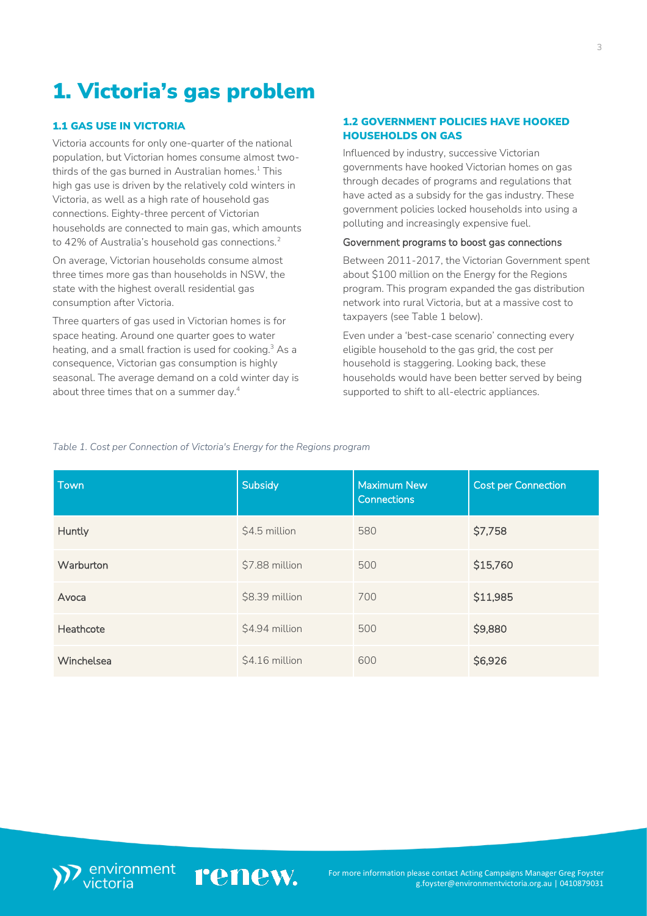# <span id="page-2-0"></span>1. Victoria's gas problem

## <span id="page-2-1"></span>1.1 GAS USE IN VICTORIA

Victoria accounts for only one-quarter of the national population, but Victorian homes consume almost twothirds of the gas burned in Australian homes. $1$  This high gas use is driven by the relatively cold winters in Victoria, as well as a high rate of household gas connections. Eighty-three percent of Victorian households are connected to main gas, which amounts to 42% of Australia's household gas connections.<sup>2</sup>

On average, Victorian households consume almost three times more gas than households in NSW, the state with the highest overall residential gas consumption after Victoria.

Three quarters of gas used in Victorian homes is for space heating. Around one quarter goes to water heating, and a small fraction is used for cooking.<sup>3</sup> As a consequence, Victorian gas consumption is highly seasonal. The average demand on a cold winter day is about three times that on a summer day.<sup>4</sup>

#### <span id="page-2-2"></span>1.2 GOVERNMENT POLICIES HAVE HOOKED HOUSEHOLDS ON GAS

Influenced by industry, successive Victorian governments have hooked Victorian homes on gas through decades of programs and regulations that have acted as a subsidy for the gas industry. These government policies locked households into using a polluting and increasingly expensive fuel.

#### Government programs to boost gas connections

Between 2011-2017, the Victorian Government spent about \$100 million on the Energy for the Regions program. This program expanded the gas distribution network into rural Victoria, but at a massive cost to taxpayers (see Table 1 below).

Even under a 'best-case scenario' connecting every eligible household to the gas grid, the cost per household is staggering. Looking back, these households would have been better served by being supported to shift to all-electric appliances.

*Table 1. Cost per Connection of Victoria's Energy for the Regions program*

| Town       | <b>Subsidy</b> | <b>Maximum New</b><br><b>Connections</b> | <b>Cost per Connection</b> |
|------------|----------------|------------------------------------------|----------------------------|
| Huntly     | \$4.5 million  | 580                                      | \$7,758                    |
| Warburton  | \$7.88 million | 500                                      | \$15,760                   |
| Avoca      | \$8.39 million | 700                                      | \$11,985                   |
| Heathcote  | \$4.94 million | 500                                      | \$9,880                    |
| Winchelsea | \$4.16 million | 600                                      | \$6,926                    |

renew.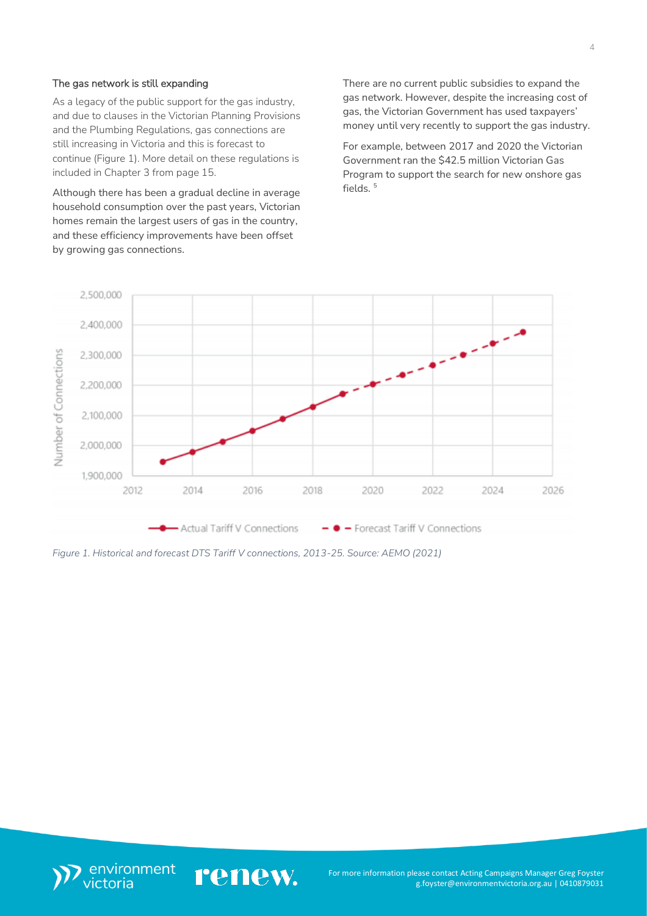#### The gas network is still expanding

As a legacy of the public support for the gas industry, and due to clauses in the Victorian Planning Provisions and the Plumbing Regulations, gas connections are still increasing in Victoria and this is forecast to continue (Figure 1). More detail on these regulations is included in Chapter 3 from page 15.

Although there has been a gradual decline in average household consumption over the past years, Victorian homes remain the largest users of gas in the country, and these efficiency improvements have been offset by growing gas connections.

There are no current public subsidies to expand the gas network. However, despite the increasing cost of gas, the Victorian Government has used taxpayers' money until very recently to support the gas industry.

For example, between 2017 and 2020 the Victorian Government ran the \$42.5 million Victorian Gas Program to support the search for new onshore gas fields  $5$ 



*Figure 1. Historical and forecast DTS Tariff V connections, 2013-25. Source: AEMO (2021)*

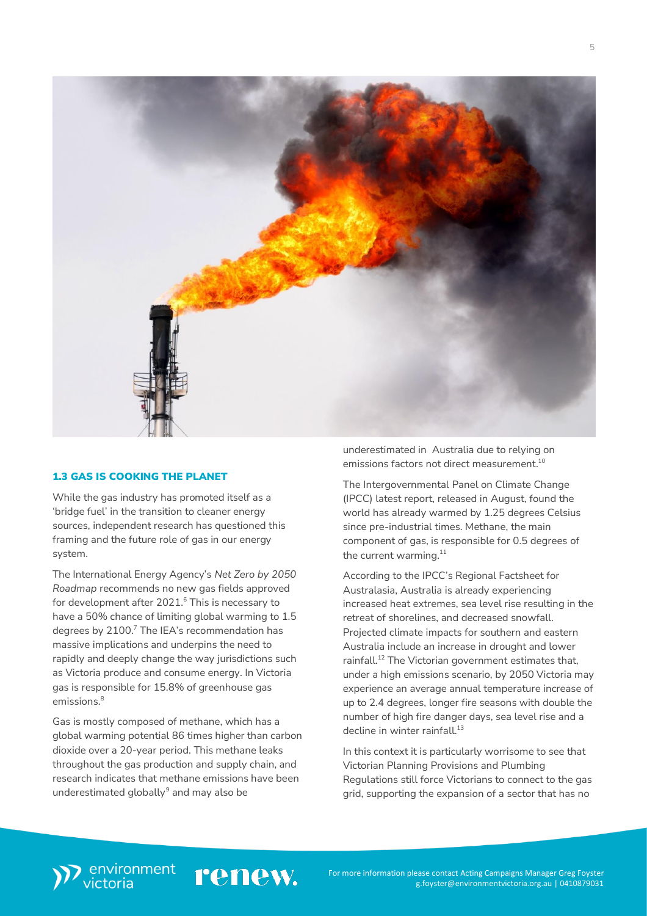

#### <span id="page-4-0"></span>1.3 GAS IS COOKING THE PLANET

While the gas industry has promoted itself as a 'bridge fuel' in the transition to cleaner energy sources, independent research has questioned this framing and the future role of gas in our energy system.

The International Energy Agency's *Net Zero by 2050 Roadmap* recommends no new gas fields approved for development after 2021.<sup>6</sup> This is necessary to have a 50% chance of limiting global warming to 1.5 degrees by 2100.<sup>7</sup> The IEA's recommendation has massive implications and underpins the need to rapidly and deeply change the way jurisdictions such as Victoria produce and consume energy. In Victoria gas is responsible for 15.8% of greenhouse gas emissions.<sup>8</sup>

Gas is mostly composed of methane, which has a global warming potential 86 times higher than carbon dioxide over a 20-year period. This methane leaks throughout the gas production and supply chain, and research indicates that methane emissions have been underestimated globally $^9$  and may also be

underestimated in Australia due to relying on emissions factors not direct measurement. 10

The Intergovernmental Panel on Climate Change (IPCC) latest report, released in August, found the world has already warmed by 1.25 degrees Celsius since pre-industrial times. Methane, the main component of gas, is responsible for 0.5 degrees of the current warming. $^{\rm 11}$ 

According to the IPCC's Regional Factsheet for Australasia, Australia is already experiencing increased heat extremes, sea level rise resulting in the retreat of shorelines, and decreased snowfall. Projected climate impacts for southern and eastern Australia include an increase in drought and lower rainfall.<sup>12</sup> The Victorian government estimates that, under a high emissions scenario, by 2050 Victoria may experience an average annual temperature increase of up to 2.4 degrees, longer fire seasons with double the number of high fire danger days, sea level rise and a decline in winter rainfall.<sup>13</sup>

In this context it is particularly worrisome to see that Victorian Planning Provisions and Plumbing Regulations still force Victorians to connect to the gas grid, supporting the expansion of a sector that has no

## environment<br>victoria renew.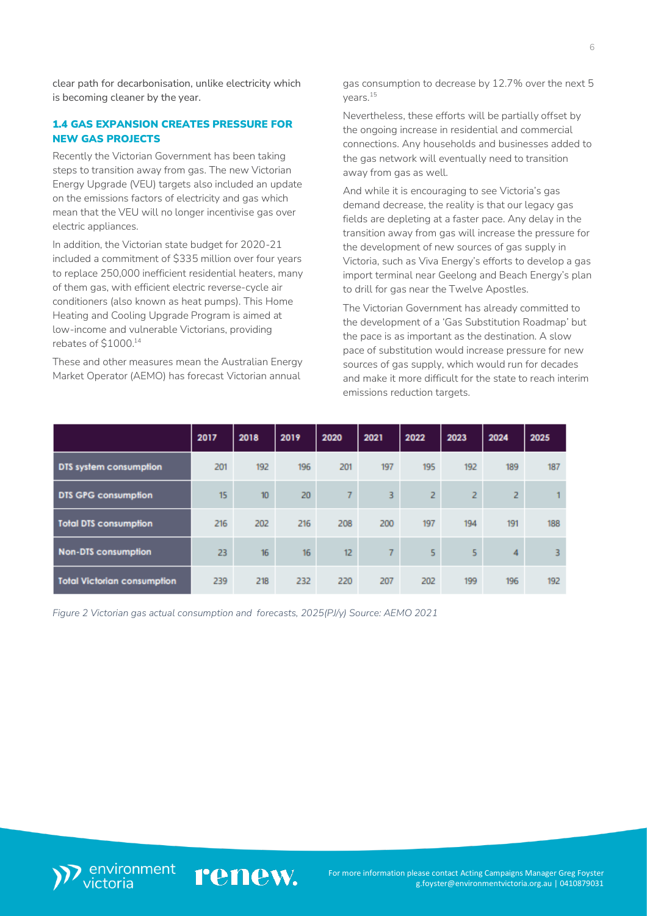clear path for decarbonisation, unlike electricity which is becoming cleaner by the year.

## <span id="page-5-0"></span>1.4 GAS EXPANSION CREATES PRESSURE FOR NEW GAS PROJECTS

Recently the Victorian Government has been taking steps to transition away from gas. The new Victorian Energy Upgrade (VEU) targets also included an update on the emissions factors of electricity and gas which mean that the VEU will no longer incentivise gas over electric appliances.

In addition, the Victorian state budget for 2020-21 included a commitment of \$335 million over four years to replace 250,000 inefficient residential heaters, many of them gas, with efficient electric reverse-cycle air conditioners (also known as heat pumps). This Home Heating and Cooling Upgrade Program is aimed at low-income and vulnerable Victorians, providing rebates of \$1000.<sup>14</sup>

These and other measures mean the Australian Energy Market Operator (AEMO) has forecast Victorian annual

gas consumption to decrease by 12.7% over the next 5 years.<sup>15</sup>

Nevertheless, these efforts will be partially offset by the ongoing increase in residential and commercial connections. Any households and businesses added to the gas network will eventually need to transition away from gas as well.

And while it is encouraging to see Victoria's gas demand decrease, the reality is that our legacy gas fields are depleting at a faster pace. Any delay in the transition away from gas will increase the pressure for the development of new sources of gas supply in Victoria, such as Viva Energy's efforts to develop a gas import terminal near Geelong and Beach Energy's plan to drill for gas near the Twelve Apostles.

The Victorian Government has already committed to the development of a 'Gas Substitution Roadmap' but the pace is as important as the destination. A slow pace of substitution would increase pressure for new sources of gas supply, which would run for decades and make it more difficult for the state to reach interim emissions reduction targets.

|                                    | 2017 | 2018             | 2019 | 2020            | 2021 | 2022 | 2023 | 2024 | 2025 |
|------------------------------------|------|------------------|------|-----------------|------|------|------|------|------|
| DTS system consumption             | 201  | 192              | 196  | 201             | 197  | 195  | 192  | 189  | 187  |
| <b>DTS GPG consumption</b>         | 15   | 10 <sup>10</sup> | 20   | 7               | 3    | 2    | 2    | 2    |      |
| <b>Total DTS consumption</b>       | 216  | 202              | 216  | 208             | 200  | 197  | 194  | 191  | 188  |
| <b>Non-DTS consumption</b>         | 23   | 16               | 16   | 12 <sub>2</sub> | 7    | 5    | 5    | 4    | 3    |
| <b>Total Victorian consumption</b> | 239  | 218              | 232  | 220             | 207  | 202  | 199  | 196  | 192  |

*Figure 2 Victorian gas actual consumption and forecasts, 2025(PJ/y) Source: AEMO 2021*

renew.

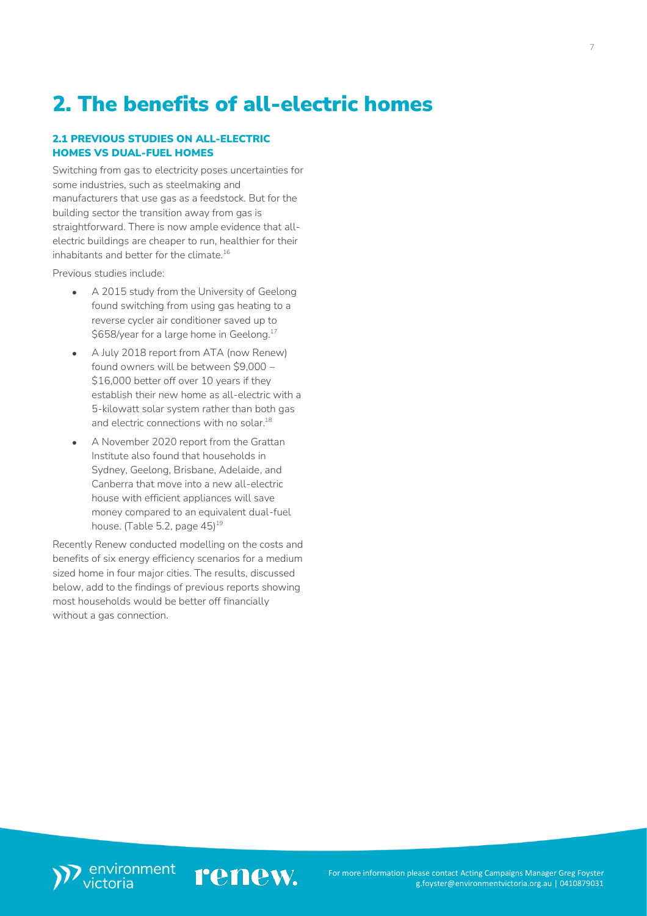## <span id="page-6-0"></span>2. The benefits of all-electric homes

### <span id="page-6-1"></span>2.1 PREVIOUS STUDIES ON ALL-ELECTRIC HOMES VS DUAL-FUEL HOMES

Switching from gas to electricity poses uncertainties for some industries, such as steelmaking and manufacturers that use gas as a feedstock. But for the building sector the transition away from gas is straightforward. There is now ample evidence that allelectric buildings are cheaper to run, healthier for their inhabitants and better for the climate.<sup>16</sup>

Previous studies include:

- A 2015 study from the University of Geelong found switching from using gas heating to a reverse cycler air conditioner saved up to \$658/year for a large home in Geelong.<sup>17</sup>
- A July 2018 report from ATA (now Renew) found owners will be between \$9,000 – \$16,000 better off over 10 years if they establish their new home as all-electric with a 5-kilowatt solar system rather than both gas and electric connections with no solar.<sup>18</sup>
- A November 2020 report from the Grattan Institute also found that households in Sydney, Geelong, Brisbane, Adelaide, and Canberra that move into a new all-electric house with efficient appliances will save money compared to an equivalent dual-fuel house. (Table 5.2, page 45)<sup>19</sup>

Recently Renew conducted modelling on the costs and benefits of six energy efficiency scenarios for a medium sized home in four major cities. The results, discussed below, add to the findings of previous reports showing most households would be better off financially without a gas connection.



renew.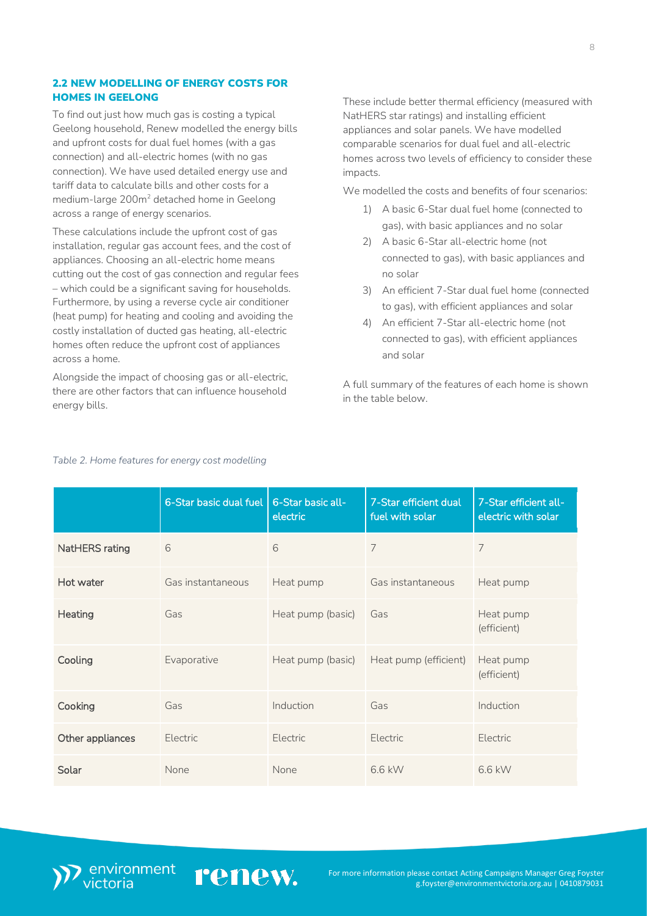### <span id="page-7-0"></span>2.2 NEW MODELLING OF ENERGY COSTS FOR HOMES IN GEELONG

To find out just how much gas is costing a typical Geelong household, Renew modelled the energy bills and upfront costs for dual fuel homes (with a gas connection) and all-electric homes (with no gas connection). We have used detailed energy use and tariff data to calculate bills and other costs for a medium-large 200m<sup>2</sup> detached home in Geelong across a range of energy scenarios.

These calculations include the upfront cost of gas installation, regular gas account fees, and the cost of appliances. Choosing an all-electric home means cutting out the cost of gas connection and regular fees – which could be a significant saving for households. Furthermore, by using a reverse cycle air conditioner (heat pump) for heating and cooling and avoiding the costly installation of ducted gas heating, all-electric homes often reduce the upfront cost of appliances across a home.

Alongside the impact of choosing gas or all-electric, there are other factors that can influence household energy bills.

These include better thermal efficiency (measured with NatHERS star ratings) and installing efficient appliances and solar panels. We have modelled comparable scenarios for dual fuel and all-electric homes across two levels of efficiency to consider these impacts.

We modelled the costs and benefits of four scenarios:

- 1) A basic 6-Star dual fuel home (connected to gas), with basic appliances and no solar
- 2) A basic 6-Star all-electric home (not connected to gas), with basic appliances and no solar
- 3) An efficient 7-Star dual fuel home (connected to gas), with efficient appliances and solar
- 4) An efficient 7-Star all-electric home (not connected to gas), with efficient appliances and solar

A full summary of the features of each home is shown in the table below.

|                  | 6-Star basic dual fuel | 6-Star basic all-<br>electric | 7-Star efficient dual<br>fuel with solar | 7-Star efficient all-<br>electric with solar |
|------------------|------------------------|-------------------------------|------------------------------------------|----------------------------------------------|
| NatHERS rating   | 6                      | 6                             | 7                                        | 7                                            |
| Hot water        | Gas instantaneous      | Heat pump                     | Gas instantaneous                        | Heat pump                                    |
| Heating          | Gas                    | Heat pump (basic)             | Gas                                      | Heat pump<br>(efficient)                     |
| Cooling          | Evaporative            | Heat pump (basic)             | Heat pump (efficient)                    | Heat pump<br>(efficient)                     |
| Cooking          | Gas                    | Induction                     | Gas                                      | Induction                                    |
| Other appliances | <b>Electric</b>        | Electric                      | Electric                                 | Electric                                     |
| Solar            | None                   | None                          | 6.6 kW                                   | 6.6 kW                                       |

renew.

#### *Table 2. Home features for energy cost modelling*

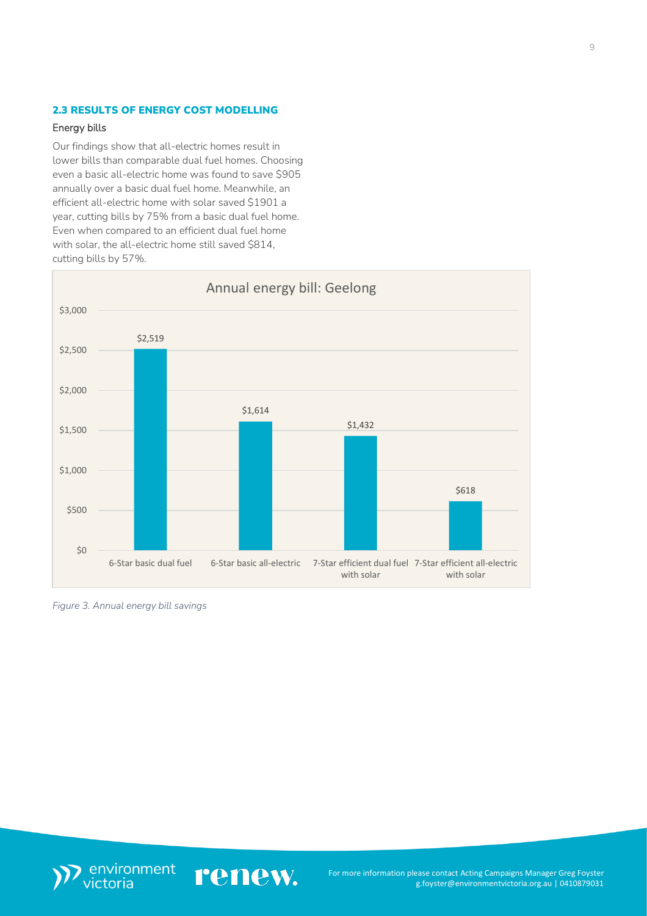## <span id="page-8-0"></span>2.3 RESULTS OF ENERGY COST MODELLING

#### Energy bills

Our findings show that all-electric homes result in lower bills than comparable dual fuel homes. Choosing even a basic all-electric home was found to save \$905 annually over a basic dual fuel home. Meanwhile, an efficient all-electric home with solar saved \$1901 a year, cutting bills by 75% from a basic dual fuel home. Even when compared to an efficient dual fuel home with solar, the all-electric home still saved \$814, cutting bills by 57%.



*Figure 3. Annual energy bill savings*



renew.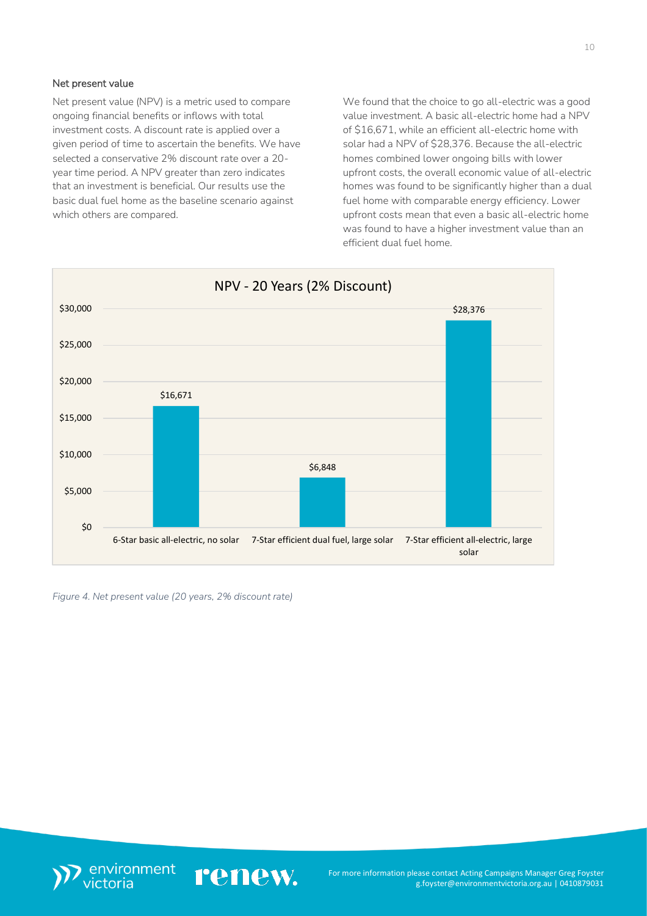#### Net present value

Net present value (NPV) is a metric used to compare ongoing financial benefits or inflows with total investment costs. A discount rate is applied over a given period of time to ascertain the benefits. We have selected a conservative 2% discount rate over a 20 year time period. A NPV greater than zero indicates that an investment is beneficial. Our results use the basic dual fuel home as the baseline scenario against which others are compared.

We found that the choice to go all-electric was a good value investment. A basic all-electric home had a NPV of \$16,671, while an efficient all-electric home with solar had a NPV of \$28,376. Because the all-electric homes combined lower ongoing bills with lower upfront costs, the overall economic value of all-electric homes was found to be significantly higher than a dual fuel home with comparable energy efficiency. Lower upfront costs mean that even a basic all-electric home was found to have a higher investment value than an efficient dual fuel home.



*Figure 4. Net present value (20 years, 2% discount rate)*

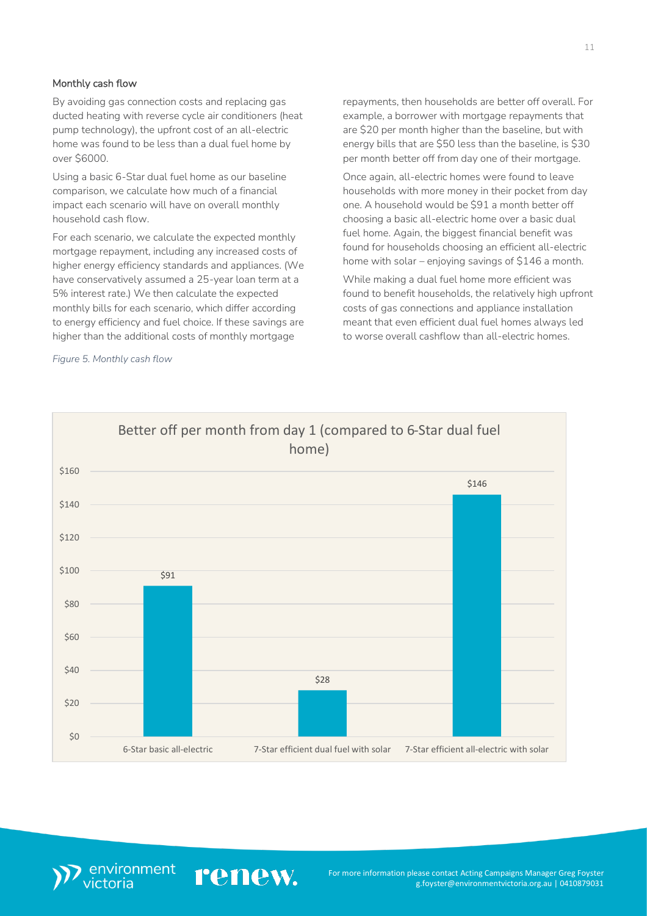#### Monthly cash flow

By avoiding gas connection costs and replacing gas ducted heating with reverse cycle air conditioners (heat pump technology), the upfront cost of an all-electric home was found to be less than a dual fuel home by over \$6000.

Using a basic 6-Star dual fuel home as our baseline comparison, we calculate how much of a financial impact each scenario will have on overall monthly household cash flow.

For each scenario, we calculate the expected monthly mortgage repayment, including any increased costs of higher energy efficiency standards and appliances. (We have conservatively assumed a 25-year loan term at a 5% interest rate.) We then calculate the expected monthly bills for each scenario, which differ according to energy efficiency and fuel choice. If these savings are higher than the additional costs of monthly mortgage

*Figure 5. Monthly cash flow*

repayments, then households are better off overall. For example, a borrower with mortgage repayments that are \$20 per month higher than the baseline, but with energy bills that are \$50 less than the baseline, is \$30 per month better off from day one of their mortgage.

Once again, all-electric homes were found to leave households with more money in their pocket from day one. A household would be \$91 a month better off choosing a basic all-electric home over a basic dual fuel home. Again, the biggest financial benefit was found for households choosing an efficient all-electric home with solar – enjoying savings of \$146 a month.

While making a dual fuel home more efficient was found to benefit households, the relatively high upfront costs of gas connections and appliance installation meant that even efficient dual fuel homes always led to worse overall cashflow than all-electric homes.



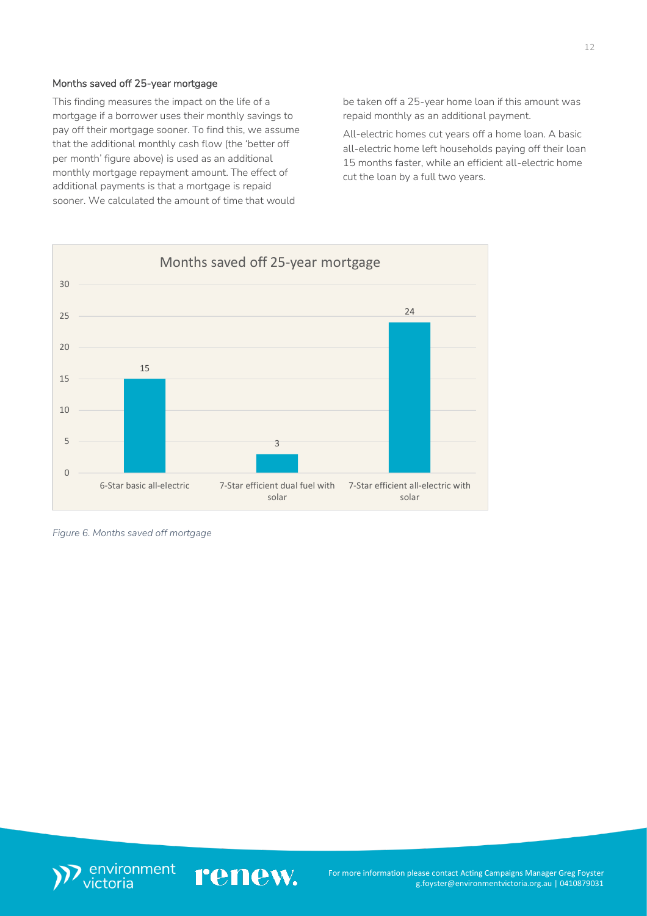### Months saved off 25-year mortgage

This finding measures the impact on the life of a mortgage if a borrower uses their monthly savings to pay off their mortgage sooner. To find this, we assume that the additional monthly cash flow (the 'better off per month' figure above) is used as an additional monthly mortgage repayment amount. The effect of additional payments is that a mortgage is repaid sooner. We calculated the amount of time that would

be taken off a 25-year home loan if this amount was repaid monthly as an additional payment.

All-electric homes cut years off a home loan. A basic all-electric home left households paying off their loan 15 months faster, while an efficient all-electric home cut the loan by a full two years.



*Figure 6. Months saved off mortgage*

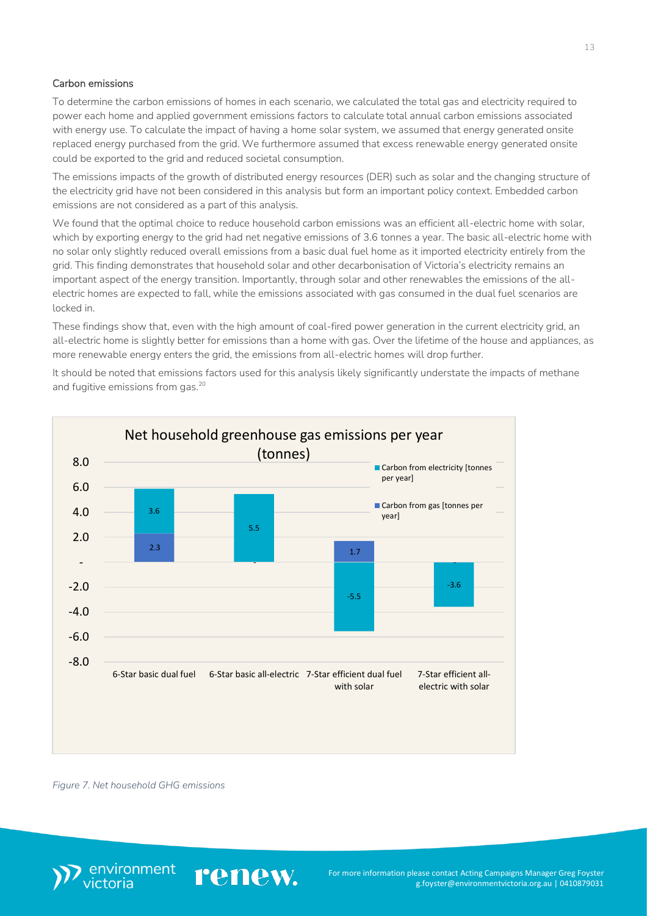### Carbon emissions

To determine the carbon emissions of homes in each scenario, we calculated the total gas and electricity required to power each home and applied government emissions factors to calculate total annual carbon emissions associated with energy use. To calculate the impact of having a home solar system, we assumed that energy generated onsite replaced energy purchased from the grid. We furthermore assumed that excess renewable energy generated onsite could be exported to the grid and reduced societal consumption.

The emissions impacts of the growth of distributed energy resources (DER) such as solar and the changing structure of the electricity grid have not been considered in this analysis but form an important policy context. Embedded carbon emissions are not considered as a part of this analysis.

We found that the optimal choice to reduce household carbon emissions was an efficient all-electric home with solar, which by exporting energy to the grid had net negative emissions of 3.6 tonnes a year. The basic all-electric home with no solar only slightly reduced overall emissions from a basic dual fuel home as it imported electricity entirely from the grid. This finding demonstrates that household solar and other decarbonisation of Victoria's electricity remains an important aspect of the energy transition. Importantly, through solar and other renewables the emissions of the allelectric homes are expected to fall, while the emissions associated with gas consumed in the dual fuel scenarios are locked in.

These findings show that, even with the high amount of coal-fired power generation in the current electricity grid, an all-electric home is slightly better for emissions than a home with gas. Over the lifetime of the house and appliances, as more renewable energy enters the grid, the emissions from all-electric homes will drop further.

It should be noted that emissions factors used for this analysis likely significantly understate the impacts of methane and fugitive emissions from gas. 20



*Figure 7. Net household GHG emissions*

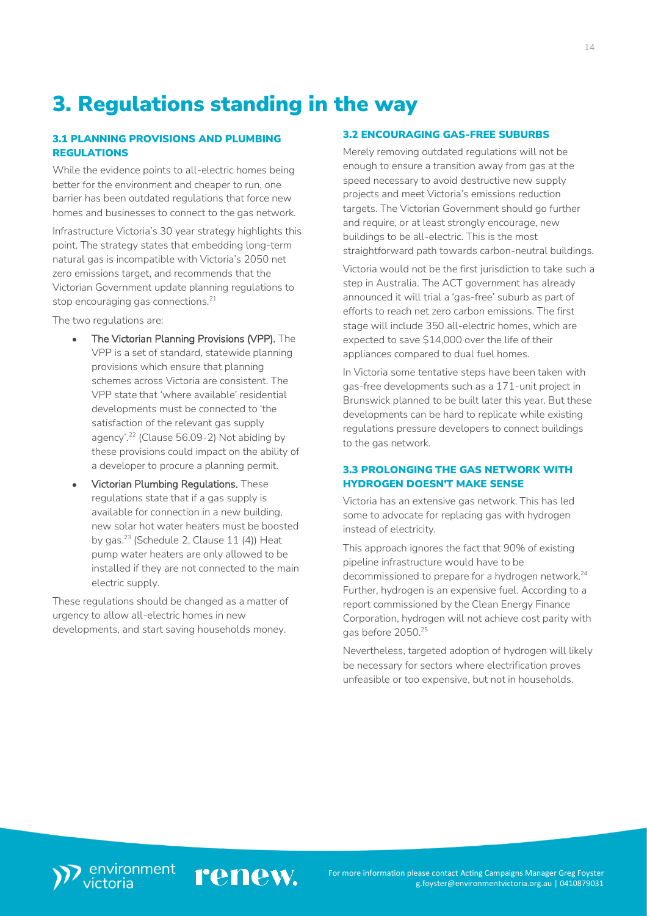## <span id="page-13-0"></span>3. Regulations standing in the way

## <span id="page-13-1"></span>3.1 PLANNING PROVISIONS AND PLUMBING REGULATIONS

While the evidence points to all-electric homes being better for the environment and cheaper to run, one barrier has been outdated regulations that force new homes and businesses to connect to the gas network.

Infrastructure Victoria's 30 year strategy highlights this point. The strategy states that embedding long-term natural gas is incompatible with Victoria's 2050 net zero emissions target, and recommends that the Victorian Government update planning regulations to stop encouraging gas connections.<sup>21</sup>

The two regulations are:

- The Victorian Planning Provisions (VPP). The VPP is a set of standard, statewide planning provisions which ensure that planning schemes across Victoria are consistent. The VPP state that 'where available' residential developments must be connected to 'the satisfaction of the relevant gas supply agency'.<sup>22</sup> (Clause 56.09-2) Not abiding by these provisions could impact on the ability of a developer to procure a planning permit.
- Victorian Plumbing Regulations. These regulations state that if a gas supply is available for connection in a new building, new solar hot water heaters must be boosted by gas.<sup>23</sup> (Schedule 2, Clause 11 (4)) Heat pump water heaters are only allowed to be installed if they are not connected to the main electric supply.

<span id="page-13-2"></span>These regulations should be changed as a matter of urgency to allow all-electric homes in new developments, and start saving households money.

### 3.2 ENCOURAGING GAS-FREE SUBURBS

Merely removing outdated regulations will not be enough to ensure a transition away from gas at the speed necessary to avoid destructive new supply projects and meet Victoria's emissions reduction targets. The Victorian Government should go further and require, or at least strongly encourage, new buildings to be all-electric. This is the most straightforward path towards carbon-neutral buildings.

Victoria would not be the first jurisdiction to take such a step in Australia. The ACT government has already announced it will trial a 'gas-free' suburb as part of efforts to reach net zero carbon emissions. The first stage will include 350 all-electric homes, which are expected to save \$14,000 over the life of their appliances compared to dual fuel homes.

In Victoria some tentative steps have been taken with gas-free developments such as a 171-unit project in Brunswick planned to be built later this year. But these developments can be hard to replicate while existing regulations pressure developers to connect buildings to the gas network.

## <span id="page-13-3"></span>3.3 PROLONGING THE GAS NETWORK WITH HYDROGEN DOESN'T MAKE SENSE

Victoria has an extensive gas network. This has led some to advocate for replacing gas with hydrogen instead of electricity.

This approach ignores the fact that 90% of existing pipeline infrastructure would have to be decommissioned to prepare for a hydrogen network. 24 Further, hydrogen is an expensive fuel. According to a report commissioned by the Clean Energy Finance Corporation, hydrogen will not achieve cost parity with gas before 2050.<sup>25</sup>

Nevertheless, targeted adoption of hydrogen will likely be necessary for sectors where electrification proves unfeasible or too expensive, but not in households.

renew.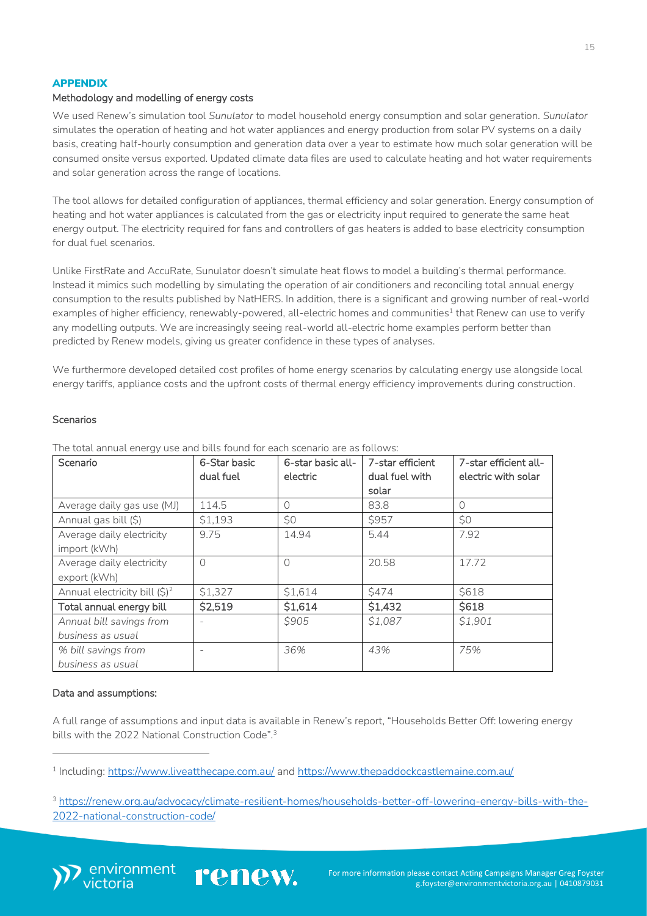#### APPENDIX

#### Methodology and modelling of energy costs

We used Renew's simulation tool *Sunulator* to model household energy consumption and solar generation. *Sunulator* simulates the operation of heating and hot water appliances and energy production from solar PV systems on a daily basis, creating half-hourly consumption and generation data over a year to estimate how much solar generation will be consumed onsite versus exported. Updated climate data files are used to calculate heating and hot water requirements and solar generation across the range of locations.

The tool allows for detailed configuration of appliances, thermal efficiency and solar generation. Energy consumption of heating and hot water appliances is calculated from the gas or electricity input required to generate the same heat energy output. The electricity required for fans and controllers of gas heaters is added to base electricity consumption for dual fuel scenarios.

Unlike FirstRate and AccuRate, Sunulator doesn't simulate heat flows to model a building's thermal performance. Instead it mimics such modelling by simulating the operation of air conditioners and reconciling total annual energy consumption to the results published by NatHERS. In addition, there is a significant and growing number of real-world examples of higher efficiency, renewably-powered, all-electric homes and communities<sup>1</sup> that Renew can use to verify any modelling outputs. We are increasingly seeing real-world all-electric home examples perform better than predicted by Renew models, giving us greater confidence in these types of analyses.

We furthermore developed detailed cost profiles of home energy scenarios by calculating energy use alongside local energy tariffs, appliance costs and the upfront costs of thermal energy efficiency improvements during construction.

#### Scenarios

| Scenario                          | 6-Star basic | 6-star basic all- | 7-star efficient | 7-star efficient all- |
|-----------------------------------|--------------|-------------------|------------------|-----------------------|
|                                   | dual fuel    | electric          | dual fuel with   | electric with solar   |
|                                   |              |                   | solar            |                       |
| Average daily gas use (MJ)        | 114.5        | 0                 | 83.8             | $\bigcap$             |
| Annual gas bill (\$)              | \$1,193      | \$0               | \$957            | \$0                   |
| Average daily electricity         | 9.75         | 14.94             | 5.44             | 7.92                  |
| import (kWh)                      |              |                   |                  |                       |
| Average daily electricity         | $\Omega$     | ∩                 | 20.58            | 17.72                 |
| export (kWh)                      |              |                   |                  |                       |
| Annual electricity bill $(\xi)^2$ | \$1,327      | \$1,614           | \$474            | \$618                 |
| Total annual energy bill          | \$2,519      | \$1,614           | \$1,432          | \$618                 |
| Annual bill savings from          |              | \$905             | \$1,087          | \$1,901               |
| business as usual                 |              |                   |                  |                       |
| % bill savings from               |              | 36%               | 43%              | 75%                   |
| business as usual                 |              |                   |                  |                       |

The total annual energy use and bills found for each scenario are as follows:

#### Data and assumptions:

A full range of assumptions and input data is available in Renew's report, "Households Better Off: lowering energy bills with the 2022 National Construction Code".<sup>3</sup>

renew.

<sup>3</sup> [https://renew.org.au/advocacy/climate-resilient-homes/households-better-off-lowering-energy-bills-with-the-](https://renew.org.au/advocacy/climate-resilient-homes/households-better-off-lowering-energy-bills-with-the-2022-national-construction-code/)[2022-national-construction-code/](https://renew.org.au/advocacy/climate-resilient-homes/households-better-off-lowering-energy-bills-with-the-2022-national-construction-code/)



<sup>1</sup> Including:<https://www.liveatthecape.com.au/> and<https://www.thepaddockcastlemaine.com.au/>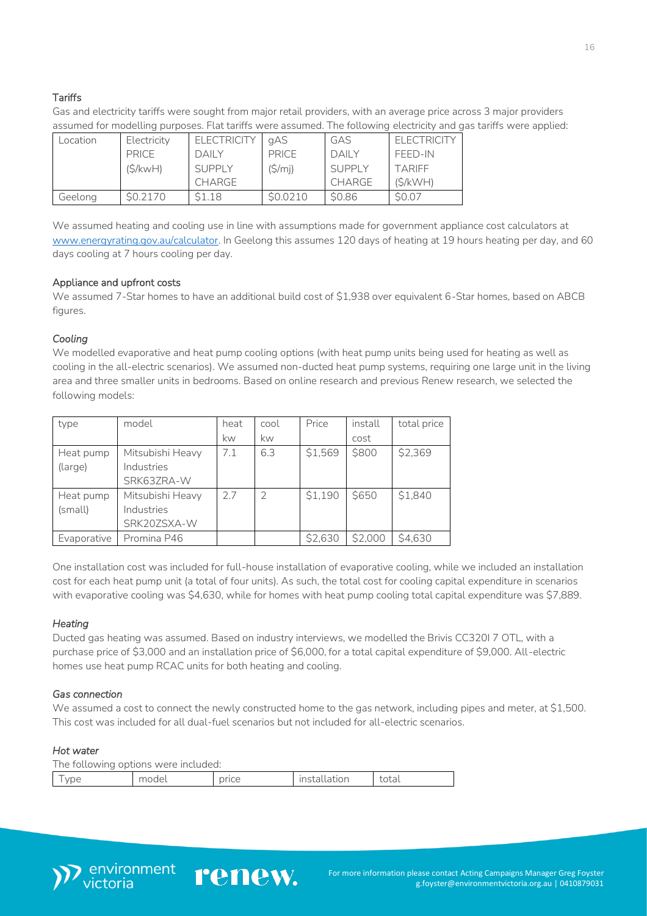## **Tariffs**

Gas and electricity tariffs were sought from major retail providers, with an average price across 3 major providers assumed for modelling purposes. Flat tariffs were assumed. The following electricity and gas tariffs were applied:

| Location | Electricity  | <b>ELECTRICITY</b> | gAS      | GAS          | <b>FLECTRICITY</b> |
|----------|--------------|--------------------|----------|--------------|--------------------|
|          | <b>PRICE</b> | <b>DAILY</b>       | PRICE    | <b>DAILY</b> | FFFD-IN            |
|          | (S/kwH)      | <b>SUPPLY</b>      | (S/m)    | SUPPLY       | <b>TARIFF</b>      |
|          |              | CHARGE             |          | CHARGE       | (S/KWH)            |
| Geelong  | S0.2170      | S1.18              | \$0.0210 | \$0.86       | <b>SO.07</b>       |

We assumed heating and cooling use in line with assumptions made for government appliance cost calculators at [www.energyrating.gov.au/calculator.](http://www.energyrating.gov.au/calculator) In Geelong this assumes 120 days of heating at 19 hours heating per day, and 60 days cooling at 7 hours cooling per day.

## Appliance and upfront costs

We assumed 7-Star homes to have an additional build cost of \$1,938 over equivalent 6-Star homes, based on ABCB figures.

## *Cooling*

We modelled evaporative and heat pump cooling options (with heat pump units being used for heating as well as cooling in the all-electric scenarios). We assumed non-ducted heat pump systems, requiring one large unit in the living area and three smaller units in bedrooms. Based on online research and previous Renew research, we selected the following models:

| type        | model            | heat | cool          | Price   | install | total price |
|-------------|------------------|------|---------------|---------|---------|-------------|
|             |                  | kw   | kw            |         | cost    |             |
| Heat pump   | Mitsubishi Heavy | 7.1  | 6.3           | \$1,569 | \$800   | \$2,369     |
| (large)     | Industries       |      |               |         |         |             |
|             | SRK63ZRA-W       |      |               |         |         |             |
| Heat pump   | Mitsubishi Heavy | 2.7  | $\mathcal{P}$ | \$1,190 | \$650   | \$1,840     |
| (small)     | Industries       |      |               |         |         |             |
|             | SRK20ZSXA-W      |      |               |         |         |             |
| Evaporative | Promina P46      |      |               | \$2,630 | \$2,000 | \$4,630     |

One installation cost was included for full-house installation of evaporative cooling, while we included an installation cost for each heat pump unit (a total of four units). As such, the total cost for cooling capital expenditure in scenarios with evaporative cooling was \$4,630, while for homes with heat pump cooling total capital expenditure was \$7,889.

## *Heating*

Ducted gas heating was assumed. Based on industry interviews, we modelled the Brivis CC320I 7 OTL, with a purchase price of \$3,000 and an installation price of \$6,000, for a total capital expenditure of \$9,000. All-electric homes use heat pump RCAC units for both heating and cooling.

## *Gas connection*

We assumed a cost to connect the newly constructed home to the gas network, including pipes and meter, at \$1,500. This cost was included for all dual-fuel scenarios but not included for all-electric scenarios.

#### *Hot water*  The following options were included:

| The following options were included: |       |       |              |       |  |  |
|--------------------------------------|-------|-------|--------------|-------|--|--|
| vpe                                  | model | price | installation | total |  |  |

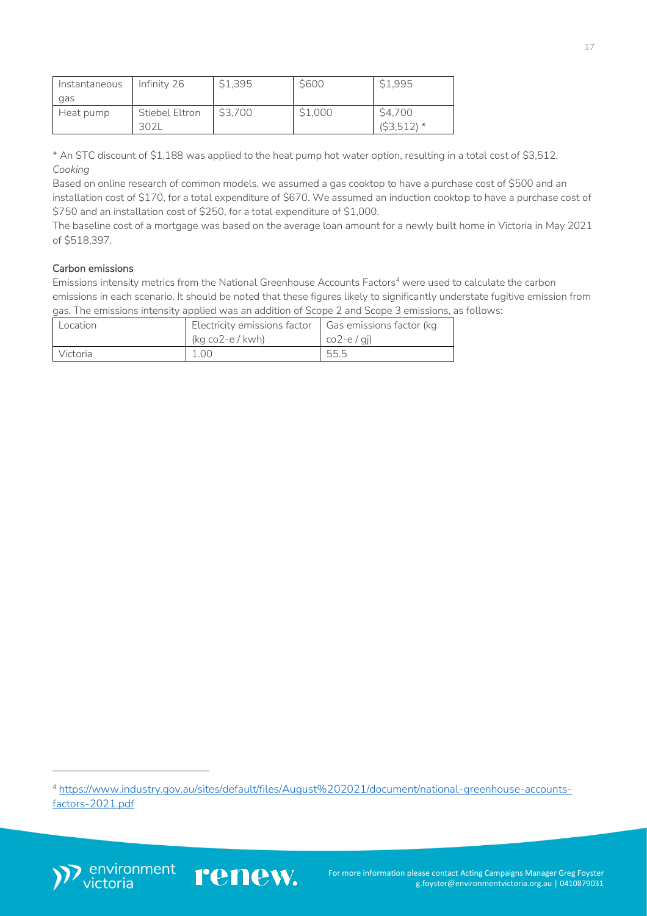| Instantaneous | Infinity 26    | \$1,395 | <b>S600</b> | \$1,995           |
|---------------|----------------|---------|-------------|-------------------|
| gas           |                |         |             |                   |
| Heat pump     | Stiebel Eltron | \$3.700 | \$1,000     | \$4,700           |
|               |                |         |             | (S3,512)<br>$71*$ |

\* An STC discount of \$1,188 was applied to the heat pump hot water option, resulting in a total cost of \$3,512. *Cooking*

Based on online research of common models, we assumed a gas cooktop to have a purchase cost of \$500 and an installation cost of \$170, for a total expenditure of \$670. We assumed an induction cooktop to have a purchase cost of \$750 and an installation cost of \$250, for a total expenditure of \$1,000.

The baseline cost of a mortgage was based on the average loan amount for a newly built home in Victoria in May 2021 of \$518,397.

## Carbon emissions

Emissions intensity metrics from the National Greenhouse Accounts Factors<sup>4</sup> were used to calculate the carbon emissions in each scenario. It should be noted that these figures likely to significantly understate fugitive emission from gas. The emissions intensity applied was an addition of Scope 2 and Scope 3 emissions, as follows:

| Location | Electricity emissions factor   Gas emissions factor (kg |               |
|----------|---------------------------------------------------------|---------------|
|          | (kg co2-e / kwh)                                        | $co2-e$ / gi) |
| Victoria | 1.00                                                    | 55.5          |





<sup>4</sup> [https://www.industry.gov.au/sites/default/files/August%202021/document/national-greenhouse-accounts](https://www.industry.gov.au/sites/default/files/August%202021/document/national-greenhouse-accounts-factors-2021.pdf)[factors-2021.pdf](https://www.industry.gov.au/sites/default/files/August%202021/document/national-greenhouse-accounts-factors-2021.pdf)